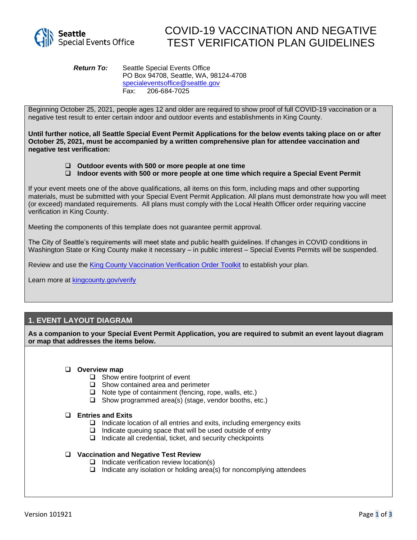

# COVID-19 VACCINATION AND NEGATIVE TEST VERIFICATION PLAN GUIDELINES

*Return To:* Seattle Special Events Office PO Box 94708, Seattle, WA, 98124-4708 [specialeventsoffice@seattle.gov](mailto:specialeventsoffice@seattle.gov) Fax: 206-684-7025

Beginning October 25, 2021, people ages 12 and older are required to show proof of full COVID-19 vaccination or a negative test result to enter certain indoor and outdoor events and establishments in King County.

**Until further notice, all Seattle Special Event Permit Applications for the below events taking place on or after October 25, 2021, must be accompanied by a written comprehensive plan for attendee vaccination and negative test verification:**

- ❑ **Outdoor events with 500 or more people at one time**
- ❑ **Indoor events with 500 or more people at one time which require a Special Event Permit**

If your event meets one of the above qualifications, all items on this form, including maps and other supporting materials, must be submitted with your Special Event Permit Application. All plans must demonstrate how you will meet (or exceed) mandated requirements. All plans must comply with the Local Health Officer order requiring vaccine verification in King County.

Meeting the components of this template does not guarantee permit approval.

The City of Seattle's requirements will meet state and public health guidelines. If changes in COVID conditions in Washington State or King County make it necessary – in public interest – Special Events Permits will be suspended.

Review and use the [King County Vaccination Verification Order Toolkit](https://e8a7c12b-bd8f-4032-85f9-1ff5f0a893d6.filesusr.com/ugd/fe0296_0b76567cbe274117ac57a698d007a280.pdf) to establish your plan.

Learn more at [kingcounty.gov/verify](https://kingcounty.gov/depts/health/covid-19/current-guidance/verify.aspx)

### **1. EVENT LAYOUT DIAGRAM**

**As a companion to your Special Event Permit Application, you are required to submit an event layout diagram or map that addresses the items below.**

#### ❑ **Overview map**

- ❑ Show entire footprint of event
- ❑ Show contained area and perimeter
- ❑ Note type of containment (fencing, rope, walls, etc.)
- ❑ Show programmed area(s) (stage, vendor booths, etc.)

#### ❑ **Entries and Exits**

- ❑ Indicate location of all entries and exits, including emergency exits
- ❑ Indicate queuing space that will be used outside of entry
- ❑ Indicate all credential, ticket, and security checkpoints

#### ❑ **Vaccination and Negative Test Review**

- ❑ Indicate verification review location(s)
- ❑ Indicate any isolation or holding area(s) for noncomplying attendees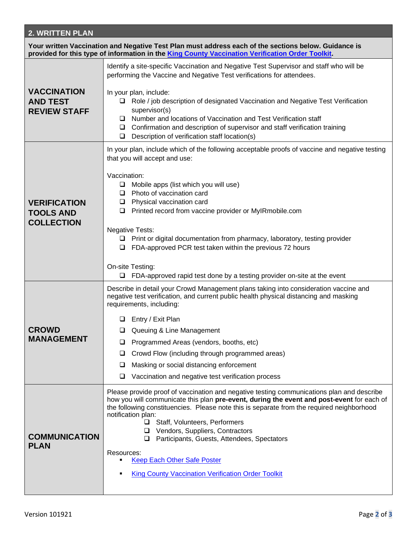## **2. WRITTEN PLAN**

| Your written Vaccination and Negative Test Plan must address each of the sections below. Guidance is<br>provided for this type of information in the King County Vaccination Verification Order Toolkit. |                                                                                                                                                                                                                                                                                                                                                                                                                                                                                         |
|----------------------------------------------------------------------------------------------------------------------------------------------------------------------------------------------------------|-----------------------------------------------------------------------------------------------------------------------------------------------------------------------------------------------------------------------------------------------------------------------------------------------------------------------------------------------------------------------------------------------------------------------------------------------------------------------------------------|
|                                                                                                                                                                                                          | Identify a site-specific Vaccination and Negative Test Supervisor and staff who will be<br>performing the Vaccine and Negative Test verifications for attendees.                                                                                                                                                                                                                                                                                                                        |
| <b>VACCINATION</b><br><b>AND TEST</b><br><b>REVIEW STAFF</b>                                                                                                                                             | In your plan, include:<br>□ Role / job description of designated Vaccination and Negative Test Verification<br>supervisor(s)<br>Number and locations of Vaccination and Test Verification staff<br>□<br>Confirmation and description of supervisor and staff verification training<br>⊔<br>Description of verification staff location(s)<br>$\Box$                                                                                                                                      |
| <b>VERIFICATION</b><br><b>TOOLS AND</b><br><b>COLLECTION</b>                                                                                                                                             | In your plan, include which of the following acceptable proofs of vaccine and negative testing<br>that you will accept and use:                                                                                                                                                                                                                                                                                                                                                         |
|                                                                                                                                                                                                          | Vaccination:<br>$\Box$ Mobile apps (list which you will use)<br>Photo of vaccination card<br>$\Box$<br>Physical vaccination card<br>$\Box$<br>$\Box$ Printed record from vaccine provider or MyIRmobile.com                                                                                                                                                                                                                                                                             |
|                                                                                                                                                                                                          | <b>Negative Tests:</b><br>$\Box$ Print or digital documentation from pharmacy, laboratory, testing provider<br>$\Box$ FDA-approved PCR test taken within the previous 72 hours<br>On-site Testing:<br>$\Box$ FDA-approved rapid test done by a testing provider on-site at the event                                                                                                                                                                                                    |
| <b>CROWD</b><br><b>MANAGEMENT</b>                                                                                                                                                                        | Describe in detail your Crowd Management plans taking into consideration vaccine and<br>negative test verification, and current public health physical distancing and masking                                                                                                                                                                                                                                                                                                           |
|                                                                                                                                                                                                          | requirements, including:<br>Entry / Exit Plan                                                                                                                                                                                                                                                                                                                                                                                                                                           |
|                                                                                                                                                                                                          | Queuing & Line Management                                                                                                                                                                                                                                                                                                                                                                                                                                                               |
|                                                                                                                                                                                                          | $\Box$ Programmed Areas (vendors, booths, etc)                                                                                                                                                                                                                                                                                                                                                                                                                                          |
|                                                                                                                                                                                                          | Crowd Flow (including through programmed areas)<br>⊔                                                                                                                                                                                                                                                                                                                                                                                                                                    |
|                                                                                                                                                                                                          | Masking or social distancing enforcement<br>⊔                                                                                                                                                                                                                                                                                                                                                                                                                                           |
|                                                                                                                                                                                                          | ❏<br>Vaccination and negative test verification process                                                                                                                                                                                                                                                                                                                                                                                                                                 |
| <b>COMMUNICATION</b><br><b>PLAN</b>                                                                                                                                                                      | Please provide proof of vaccination and negative testing communications plan and describe<br>how you will communicate this plan pre-event, during the event and post-event for each of<br>the following constituencies. Please note this is separate from the required neighborhood<br>notification plan:<br>Staff, Volunteers, Performers<br>□ Vendors, Suppliers, Contractors<br>Participants, Guests, Attendees, Spectators<br>❏<br>Resources:<br><b>Keep Each Other Safe Poster</b> |
|                                                                                                                                                                                                          | <b>King County Vaccination Verification Order Toolkit</b>                                                                                                                                                                                                                                                                                                                                                                                                                               |